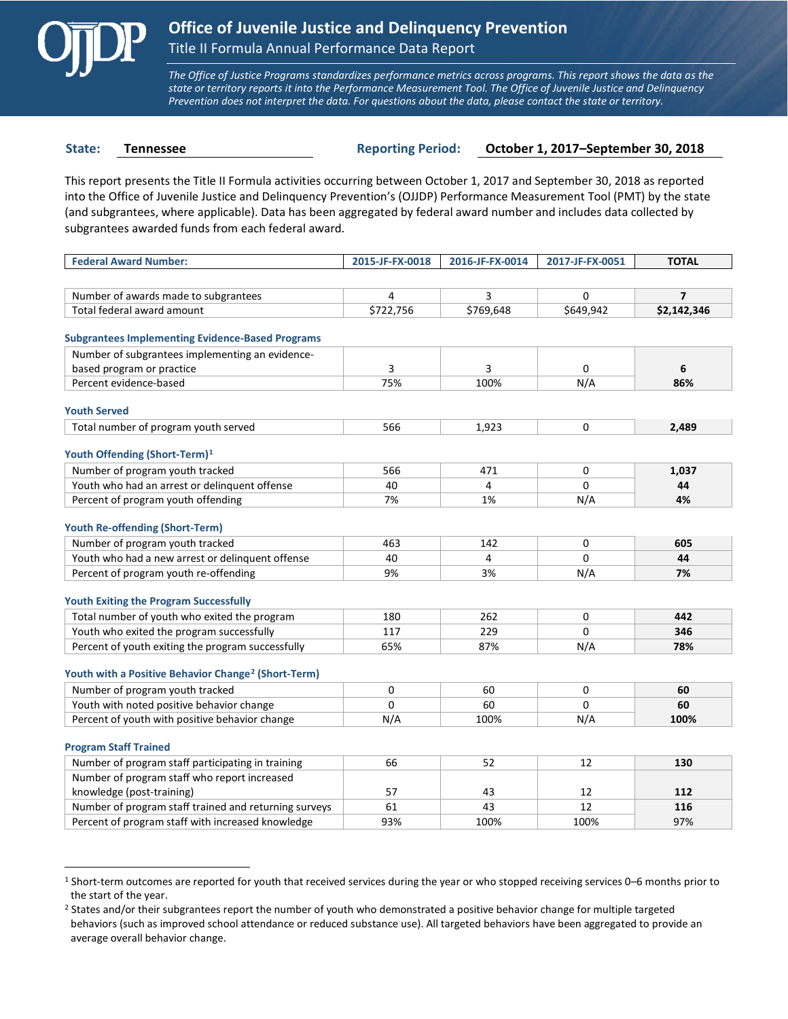

 $\overline{a}$ 

*The Office of Justice Programs standardizes performance metrics across programs. This report shows the data as the state or territory reports it into the Performance Measurement Tool. The Office of Juvenile Justice and Delinquency Prevention does not interpret the data. For questions about the data, please contact the state or territory.*

**State: Tennessee Reporting Period: October 1, 2017–September 30, 2018**

This report presents the Title II Formula activities occurring between October 1, 2017 and September 30, 2018 as reported into the Office of Juvenile Justice and Delinquency Prevention's (OJJDP) Performance Measurement Tool (PMT) by the state (and subgrantees, where applicable). Data has been aggregated by federal award number and includes data collected by subgrantees awarded funds from each federal award.

| <b>Federal Award Number:</b>                                    | 2015-JF-FX-0018     | 2016-JF-FX-0014 | 2017-JF-FX-0051 | <b>TOTAL</b>   |
|-----------------------------------------------------------------|---------------------|-----------------|-----------------|----------------|
|                                                                 |                     |                 |                 |                |
| Number of awards made to subgrantees                            | 4                   | 3               | $\mathbf 0$     | $\overline{7}$ |
| Total federal award amount                                      | \$722,756           | \$769,648       | \$649,942       | \$2,142,346    |
|                                                                 |                     |                 |                 |                |
| <b>Subgrantees Implementing Evidence-Based Programs</b>         |                     |                 |                 |                |
| Number of subgrantees implementing an evidence-                 |                     |                 |                 |                |
| based program or practice                                       | 3                   | 3               | 0               | 6              |
| Percent evidence-based                                          | 75%                 | 100%            | N/A             | 86%            |
| <b>Youth Served</b>                                             |                     |                 |                 |                |
| Total number of program youth served                            | 566                 | 1,923           | 0               | 2,489          |
|                                                                 |                     |                 |                 |                |
| Youth Offending (Short-Term) <sup>1</sup>                       |                     |                 |                 |                |
| Number of program youth tracked                                 | 566                 | 471             | 0               | 1,037          |
| Youth who had an arrest or delinquent offense                   | 40                  | $\overline{4}$  | $\Omega$        | 44             |
| Percent of program youth offending                              | 7%                  | 1%              | N/A             | 4%             |
|                                                                 |                     |                 |                 |                |
| <b>Youth Re-offending (Short-Term)</b>                          |                     |                 |                 |                |
| Number of program youth tracked                                 | 463                 | 142             | 0               | 605            |
| Youth who had a new arrest or delinguent offense                | 40                  | 4               | 0               | 44             |
| Percent of program youth re-offending                           | 9%                  | 3%              | N/A             | 7%             |
| <b>Youth Exiting the Program Successfully</b>                   |                     |                 |                 |                |
| Total number of youth who exited the program                    | 180                 | 262             | 0               | 442            |
| Youth who exited the program successfully                       | 117                 | 229             | $\Omega$        | 346            |
|                                                                 | 65%                 | 87%             |                 | 78%            |
| Percent of youth exiting the program successfully               |                     |                 | N/A             |                |
| Youth with a Positive Behavior Change <sup>2</sup> (Short-Term) |                     |                 |                 |                |
| Number of program youth tracked                                 | $\mathsf{O}\xspace$ | 60              | 0               | 60             |
| Youth with noted positive behavior change                       | $\Omega$            | 60              | $\Omega$        | 60             |
| Percent of youth with positive behavior change                  | N/A                 | 100%            | N/A             | 100%           |
|                                                                 |                     |                 |                 |                |
| <b>Program Staff Trained</b>                                    |                     |                 |                 |                |
| Number of program staff participating in training               | 66                  | 52              | 12              | 130            |
| Number of program staff who report increased                    |                     |                 |                 |                |
| knowledge (post-training)                                       | 57                  | 43              | 12              | 112            |
| Number of program staff trained and returning surveys           | 61                  | 43              | 12              | 116            |
| Percent of program staff with increased knowledge               | 93%                 | 100%            | 100%            | 97%            |

<span id="page-0-0"></span><sup>1</sup> Short-term outcomes are reported for youth that received services during the year or who stopped receiving services 0–6 months prior to the start of the year.

<span id="page-0-1"></span><sup>&</sup>lt;sup>2</sup> States and/or their subgrantees report the number of youth who demonstrated a positive behavior change for multiple targeted behaviors (such as improved school attendance or reduced substance use). All targeted behaviors have been aggregated to provide an average overall behavior change.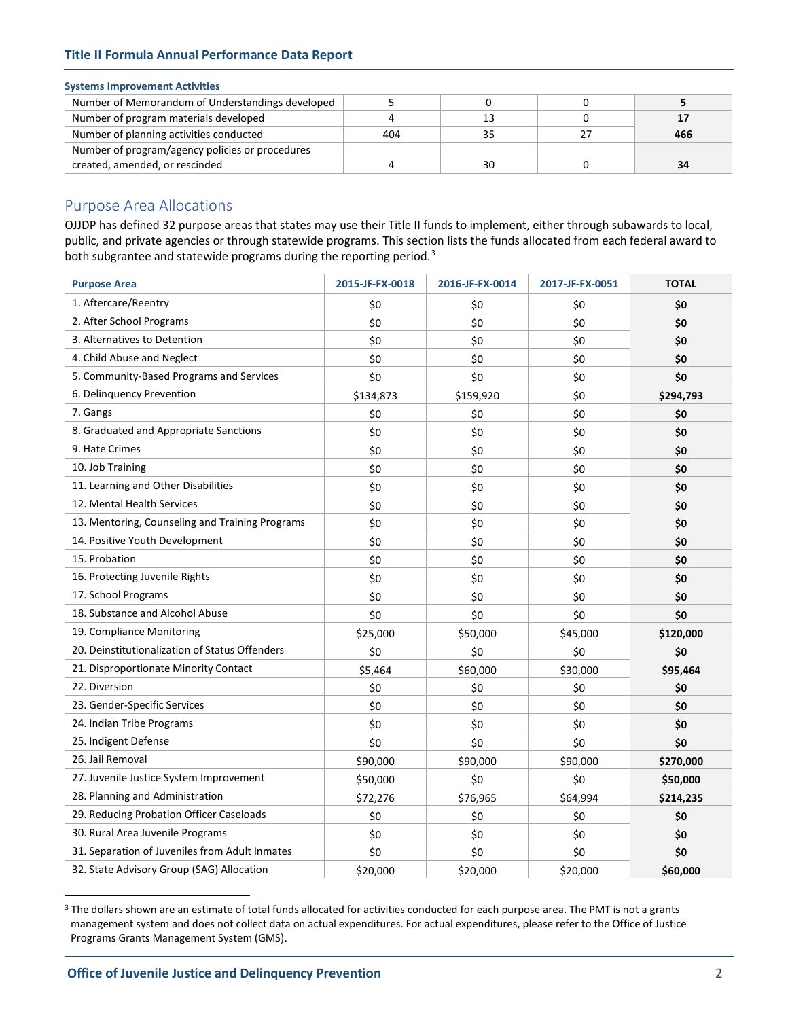# **Title II Formula Annual Performance Data Report**

# **Systems Improvement Activities**

| Number of Memorandum of Understandings developed |     |    |     |
|--------------------------------------------------|-----|----|-----|
| Number of program materials developed            |     |    |     |
| Number of planning activities conducted          | 404 |    | 466 |
| Number of program/agency policies or procedures  |     |    |     |
| created, amended, or rescinded                   |     | 30 |     |

# Purpose Area Allocations

OJJDP has defined 32 purpose areas that states may use their Title II funds to implement, either through subawards to local, public, and private agencies or through statewide programs. This section lists the funds allocated from each federal award to both subgrantee and statewide programs during the reporting period.<sup>[3](#page-1-0)</sup>

| <b>Purpose Area</b>                             | 2015-JF-FX-0018 | 2016-JF-FX-0014 | 2017-JF-FX-0051 | <b>TOTAL</b> |
|-------------------------------------------------|-----------------|-----------------|-----------------|--------------|
| 1. Aftercare/Reentry                            | \$0             | \$0             | \$0             | \$0          |
| 2. After School Programs                        | \$0             | \$0             | \$0             | \$0          |
| 3. Alternatives to Detention                    | \$0             | \$0             | \$0             | \$0          |
| 4. Child Abuse and Neglect                      | \$0             | \$0             | \$0             | \$0          |
| 5. Community-Based Programs and Services        | \$0             | \$0             | \$0             | \$0          |
| 6. Delinquency Prevention                       | \$134,873       | \$159,920       | \$0             | \$294,793    |
| 7. Gangs                                        | \$0             | \$0             | \$0             | \$0          |
| 8. Graduated and Appropriate Sanctions          | \$0             | \$0             | \$0             | \$0          |
| 9. Hate Crimes                                  | \$0             | \$0             | \$0             | \$0          |
| 10. Job Training                                | \$0             | \$0             | \$0             | \$0          |
| 11. Learning and Other Disabilities             | \$0             | \$0             | \$0             | \$0          |
| 12. Mental Health Services                      | \$0             | \$0             | \$0             | \$0          |
| 13. Mentoring, Counseling and Training Programs | \$0             | \$0             | \$0             | \$0          |
| 14. Positive Youth Development                  | \$0             | \$0             | \$0             | \$0          |
| 15. Probation                                   | \$0             | \$0             | \$0             | \$0          |
| 16. Protecting Juvenile Rights                  | \$0             | \$0             | \$0             | \$0          |
| 17. School Programs                             | \$0             | \$0             | \$0             | \$0          |
| 18. Substance and Alcohol Abuse                 | \$0             | \$0             | \$0             | \$0          |
| 19. Compliance Monitoring                       | \$25,000        | \$50,000        | \$45,000        | \$120,000    |
| 20. Deinstitutionalization of Status Offenders  | \$0             | \$0             | \$0             | \$0          |
| 21. Disproportionate Minority Contact           | \$5,464         | \$60,000        | \$30,000        | \$95,464     |
| 22. Diversion                                   | \$0             | \$0             | \$0             | \$0          |
| 23. Gender-Specific Services                    | \$0             | \$0             | \$0             | \$0          |
| 24. Indian Tribe Programs                       | \$0             | \$0             | \$0             | \$0          |
| 25. Indigent Defense                            | \$0             | \$0             | \$0             | \$0          |
| 26. Jail Removal                                | \$90,000        | \$90,000        | \$90,000        | \$270,000    |
| 27. Juvenile Justice System Improvement         | \$50,000        | \$0             | \$0             | \$50,000     |
| 28. Planning and Administration                 | \$72,276        | \$76,965        | \$64,994        | \$214,235    |
| 29. Reducing Probation Officer Caseloads        | \$0             | \$0             | \$0             | \$0          |
| 30. Rural Area Juvenile Programs                | \$0             | \$0             | \$0             | \$0          |
| 31. Separation of Juveniles from Adult Inmates  | \$0             | \$0             | \$0             | \$0          |
| 32. State Advisory Group (SAG) Allocation       | \$20,000        | \$20,000        | \$20,000        | \$60,000     |

<span id="page-1-0"></span><sup>&</sup>lt;sup>3</sup> The dollars shown are an estimate of total funds allocated for activities conducted for each purpose area. The PMT is not a grants management system and does not collect data on actual expenditures. For actual expenditures, please refer to the Office of Justice Programs Grants Management System (GMS).

 $\overline{a}$